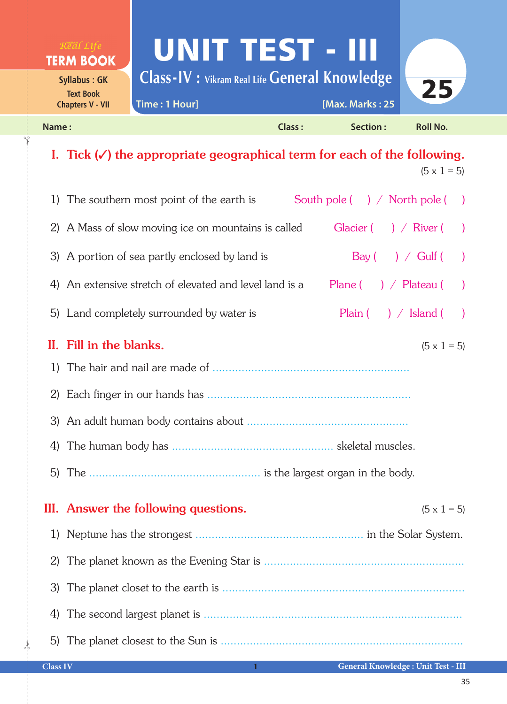

## I. Tick  $(V)$  the appropriate geographical term for each of the following.  $(5 \times 1 = 5)$

|              | South pole $( ) /$ North pole $( )$<br>1) The southern most point of the earth is<br>$\rightarrow$ |
|--------------|----------------------------------------------------------------------------------------------------|
|              | Glacier $($ $)$ / River (<br>2) A Mass of slow moving ice on mountains is called<br>$\rightarrow$  |
|              | 3) A portion of sea partly enclosed by land is<br>$Bay(\ )$ / Gulf $(\ )$                          |
|              | 4) An extensive stretch of elevated and level land is a<br>Plane $( )$ / Plateau $( )$             |
|              | 5) Land completely surrounded by water is<br>Plain $( ) /$ Island $( )$                            |
|              | II. Fill in the blanks.<br>$(5 \times 1 = 5)$                                                      |
| <sup>1</sup> |                                                                                                    |
|              |                                                                                                    |
|              |                                                                                                    |
| 4)           |                                                                                                    |
|              |                                                                                                    |
|              | III. Answer the following questions.<br>$(5 \times 1 = 5)$                                         |
| 1)           |                                                                                                    |
| 2)           |                                                                                                    |
| 3)           |                                                                                                    |
|              |                                                                                                    |
| 4)           |                                                                                                    |

 $\frac{1}{2}$ 

✁